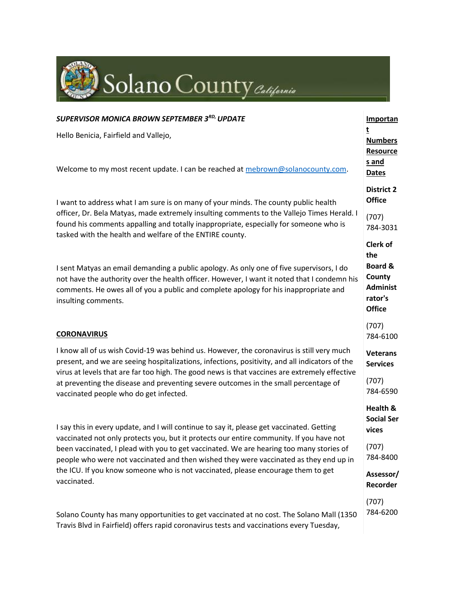

| <b>SUPERVISOR MONICA BROWN SEPTEMBER 3RD, UPDATE</b>                                                                                                                                                                                                                                                                                                                                                                                                                        | Importan                                                                                              |
|-----------------------------------------------------------------------------------------------------------------------------------------------------------------------------------------------------------------------------------------------------------------------------------------------------------------------------------------------------------------------------------------------------------------------------------------------------------------------------|-------------------------------------------------------------------------------------------------------|
| Hello Benicia, Fairfield and Vallejo,                                                                                                                                                                                                                                                                                                                                                                                                                                       | <b>Numbers</b><br><b>Resource</b>                                                                     |
| Welcome to my most recent update. I can be reached at mebrown@solanocounty.com.                                                                                                                                                                                                                                                                                                                                                                                             | s and<br><b>Dates</b>                                                                                 |
| I want to address what I am sure is on many of your minds. The county public health<br>officer, Dr. Bela Matyas, made extremely insulting comments to the Vallejo Times Herald. I<br>found his comments appalling and totally inappropriate, especially for someone who is                                                                                                                                                                                                  | <b>District 2</b><br><b>Office</b>                                                                    |
|                                                                                                                                                                                                                                                                                                                                                                                                                                                                             | (707)<br>784-3031                                                                                     |
| tasked with the health and welfare of the ENTIRE county.<br>I sent Matyas an email demanding a public apology. As only one of five supervisors, I do<br>not have the authority over the health officer. However, I want it noted that I condemn his<br>comments. He owes all of you a public and complete apology for his inappropriate and<br>insulting comments.                                                                                                          | <b>Clerk of</b><br>the<br><b>Board &amp;</b><br>County<br><b>Administ</b><br>rator's<br><b>Office</b> |
| <b>CORONAVIRUS</b>                                                                                                                                                                                                                                                                                                                                                                                                                                                          | (707)<br>784-6100                                                                                     |
| I know all of us wish Covid-19 was behind us. However, the coronavirus is still very much<br>present, and we are seeing hospitalizations, infections, positivity, and all indicators of the<br>virus at levels that are far too high. The good news is that vaccines are extremely effective<br>at preventing the disease and preventing severe outcomes in the small percentage of<br>vaccinated people who do get infected.                                               | <b>Veterans</b><br><b>Services</b>                                                                    |
|                                                                                                                                                                                                                                                                                                                                                                                                                                                                             | (707)<br>784-6590                                                                                     |
| I say this in every update, and I will continue to say it, please get vaccinated. Getting<br>vaccinated not only protects you, but it protects our entire community. If you have not<br>been vaccinated, I plead with you to get vaccinated. We are hearing too many stories of<br>people who were not vaccinated and then wished they were vaccinated as they end up in<br>the ICU. If you know someone who is not vaccinated, please encourage them to get<br>vaccinated. | Health &<br><b>Social Ser</b><br>vices                                                                |
|                                                                                                                                                                                                                                                                                                                                                                                                                                                                             | (707)<br>784-8400                                                                                     |
|                                                                                                                                                                                                                                                                                                                                                                                                                                                                             | Assessor/<br>Recorder                                                                                 |
| Solano County has many opportunities to get vaccinated at no cost. The Solano Mall (1350<br>Travis Blvd in Fairfield) offers rapid coronavirus tests and vaccinations every Tuesday,                                                                                                                                                                                                                                                                                        | (707)<br>784-6200                                                                                     |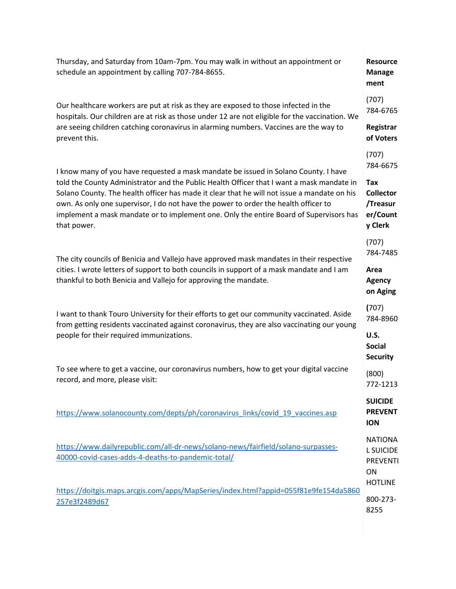| Thursday, and Saturday from 10am-7pm. You may walk in without an appointment or<br>schedule an appointment by calling 707-784-8655.                                                                                                                                                                                                                                                                                                                                             | <b>Resource</b><br><b>Manage</b><br>ment                           |
|---------------------------------------------------------------------------------------------------------------------------------------------------------------------------------------------------------------------------------------------------------------------------------------------------------------------------------------------------------------------------------------------------------------------------------------------------------------------------------|--------------------------------------------------------------------|
| Our healthcare workers are put at risk as they are exposed to those infected in the<br>hospitals. Our children are at risk as those under 12 are not eligible for the vaccination. We<br>are seeing children catching coronavirus in alarming numbers. Vaccines are the way to<br>prevent this.                                                                                                                                                                                 | (707)<br>784-6765                                                  |
|                                                                                                                                                                                                                                                                                                                                                                                                                                                                                 | Registrar<br>of Voters                                             |
| I know many of you have requested a mask mandate be issued in Solano County. I have<br>told the County Administrator and the Public Health Officer that I want a mask mandate in<br>Solano County. The health officer has made it clear that he will not issue a mandate on his<br>own. As only one supervisor, I do not have the power to order the health officer to<br>implement a mask mandate or to implement one. Only the entire Board of Supervisors has<br>that power. | (707)<br>784-6675                                                  |
|                                                                                                                                                                                                                                                                                                                                                                                                                                                                                 | Tax<br><b>Collector</b><br>/Treasur<br>er/Count<br>y Clerk         |
| The city councils of Benicia and Vallejo have approved mask mandates in their respective<br>cities. I wrote letters of support to both councils in support of a mask mandate and I am<br>thankful to both Benicia and Vallejo for approving the mandate.                                                                                                                                                                                                                        | (707)<br>784-7485                                                  |
|                                                                                                                                                                                                                                                                                                                                                                                                                                                                                 | Area<br><b>Agency</b><br>on Aging                                  |
| I want to thank Touro University for their efforts to get our community vaccinated. Aside<br>from getting residents vaccinated against coronavirus, they are also vaccinating our young<br>people for their required immunizations.                                                                                                                                                                                                                                             | (707)<br>784-8960                                                  |
|                                                                                                                                                                                                                                                                                                                                                                                                                                                                                 | <b>U.S.</b><br><b>Social</b><br><b>Security</b>                    |
| To see where to get a vaccine, our coronavirus numbers, how to get your digital vaccine<br>record, and more, please visit:                                                                                                                                                                                                                                                                                                                                                      | (800)<br>772-1213                                                  |
| https://www.solanocounty.com/depts/ph/coronavirus links/covid 19 vaccines.asp                                                                                                                                                                                                                                                                                                                                                                                                   | <b>SUICIDE</b><br><b>PREVENT</b><br><b>ION</b>                     |
| https://www.dailyrepublic.com/all-dr-news/solano-news/fairfield/solano-surpasses-<br>40000-covid-cases-adds-4-deaths-to-pandemic-total/                                                                                                                                                                                                                                                                                                                                         | <b>NATIONA</b><br><b>L SUICIDE</b><br><b>PREVENTI</b><br><b>ON</b> |
| https://doitgis.maps.arcgis.com/apps/MapSeries/index.html?appid=055f81e9fe154da5860<br>257e3f2489d67                                                                                                                                                                                                                                                                                                                                                                            | <b>HOTLINE</b><br>800-273-<br>8255                                 |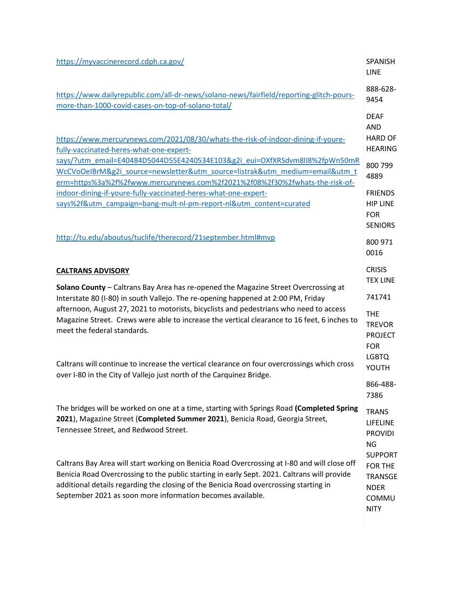| https://myvaccinerecord.cdph.ca.gov/                                                                                                                                                                                                                                                                                                                                                                                                                                                                                                                                                                | <b>SPANISH</b><br><b>LINE</b>                                                      |
|-----------------------------------------------------------------------------------------------------------------------------------------------------------------------------------------------------------------------------------------------------------------------------------------------------------------------------------------------------------------------------------------------------------------------------------------------------------------------------------------------------------------------------------------------------------------------------------------------------|------------------------------------------------------------------------------------|
| https://www.dailyrepublic.com/all-dr-news/solano-news/fairfield/reporting-glitch-pours-<br>more-than-1000-covid-cases-on-top-of-solano-total/                                                                                                                                                                                                                                                                                                                                                                                                                                                       | 888-628-<br>9454                                                                   |
| https://www.mercurynews.com/2021/08/30/whats-the-risk-of-indoor-dining-if-youre-<br>fully-vaccinated-heres-what-one-expert-                                                                                                                                                                                                                                                                                                                                                                                                                                                                         | <b>DEAF</b><br><b>AND</b><br><b>HARD OF</b><br><b>HEARING</b>                      |
| says/?utm_email=E40484D5044D55E4240534E103&g2i_eui=OXfXRSdvm8lI8%2fpWn50mR<br>WcCVoOeIBrM&g2i source=newsletter&utm source=listrak&utm medium=email&utm t<br>erm=https%3a%2f%2fwww.mercurynews.com%2f2021%2f08%2f30%2fwhats-the-risk-of-                                                                                                                                                                                                                                                                                                                                                            | 800 799<br>4889                                                                    |
| indoor-dining-if-youre-fully-vaccinated-heres-what-one-expert-<br>says%2f&utm_campaign=bang-mult-nl-pm-report-nl&utm_content=curated                                                                                                                                                                                                                                                                                                                                                                                                                                                                | <b>FRIENDS</b><br><b>HIP LINE</b><br><b>FOR</b><br><b>SENIORS</b>                  |
| http://tu.edu/aboutus/tuclife/therecord/21september.html#mvp                                                                                                                                                                                                                                                                                                                                                                                                                                                                                                                                        | 800 971<br>0016                                                                    |
| <b>CALTRANS ADVISORY</b><br>Solano County - Caltrans Bay Area has re-opened the Magazine Street Overcrossing at<br>Interstate 80 (I-80) in south Vallejo. The re-opening happened at 2:00 PM, Friday<br>afternoon, August 27, 2021 to motorists, bicyclists and pedestrians who need to access<br>Magazine Street. Crews were able to increase the vertical clearance to 16 feet, 6 inches to<br>meet the federal standards.<br>Caltrans will continue to increase the vertical clearance on four overcrossings which cross<br>over I-80 in the City of Vallejo just north of the Carquinez Bridge. | <b>CRISIS</b><br><b>TEX LINE</b>                                                   |
|                                                                                                                                                                                                                                                                                                                                                                                                                                                                                                                                                                                                     | 741741                                                                             |
|                                                                                                                                                                                                                                                                                                                                                                                                                                                                                                                                                                                                     | <b>THE</b><br><b>TREVOR</b><br><b>PROJECT</b><br><b>FOR</b>                        |
|                                                                                                                                                                                                                                                                                                                                                                                                                                                                                                                                                                                                     | <b>LGBTQ</b><br>YOUTH                                                              |
|                                                                                                                                                                                                                                                                                                                                                                                                                                                                                                                                                                                                     | 866-488-<br>7386                                                                   |
| The bridges will be worked on one at a time, starting with Springs Road (Completed Spring<br>2021), Magazine Street (Completed Summer 2021), Benicia Road, Georgia Street,<br>Tennessee Street, and Redwood Street.                                                                                                                                                                                                                                                                                                                                                                                 | <b>TRANS</b><br>LIFELINE<br><b>PROVIDI</b><br>NG                                   |
| Caltrans Bay Area will start working on Benicia Road Overcrossing at I-80 and will close off<br>Benicia Road Overcrossing to the public starting in early Sept. 2021. Caltrans will provide<br>additional details regarding the closing of the Benicia Road overcrossing starting in<br>September 2021 as soon more information becomes available.                                                                                                                                                                                                                                                  | <b>SUPPORT</b><br>FOR THE<br><b>TRANSGE</b><br><b>NDER</b><br>COMMU<br><b>NITY</b> |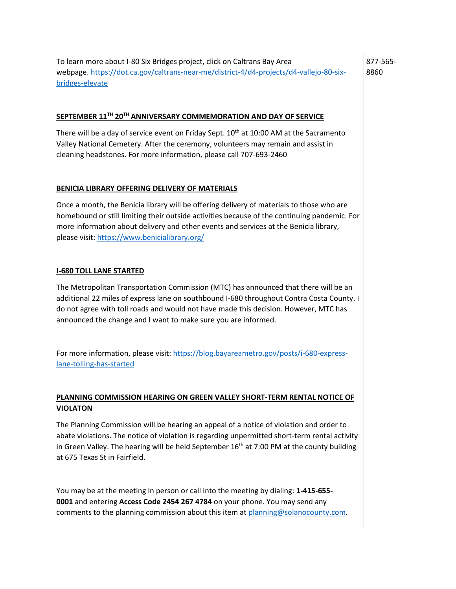To learn more about I-80 Six Bridges project, click on Caltrans Bay Area webpage. [https://dot.ca.gov/caltrans-near-me/district-4/d4-projects/d4-vallejo-80-six](https://dot.ca.gov/caltrans-near-me/district-4/d4-projects/d4-vallejo-80-six-bridges-elevate)[bridges-elevate](https://dot.ca.gov/caltrans-near-me/district-4/d4-projects/d4-vallejo-80-six-bridges-elevate) 877-565- 8860

### **SEPTEMBER 11TH 20TH ANNIVERSARY COMMEMORATION AND DAY OF SERVICE**

There will be a day of service event on Friday Sept. 10<sup>th</sup> at 10:00 AM at the Sacramento Valley National Cemetery. After the ceremony, volunteers may remain and assist in cleaning headstones. For more information, please call 707-693-2460

#### **BENICIA LIBRARY OFFERING DELIVERY OF MATERIALS**

Once a month, the Benicia library will be offering delivery of materials to those who are homebound or still limiting their outside activities because of the continuing pandemic. For more information about delivery and other events and services at the Benicia library, please visit: <https://www.benicialibrary.org/>

#### **I-680 TOLL LANE STARTED**

The Metropolitan Transportation Commission (MTC) has announced that there will be an additional 22 miles of express lane on southbound I-680 throughout Contra Costa County. I do not agree with toll roads and would not have made this decision. However, MTC has announced the change and I want to make sure you are informed.

For more information, please visit: [https://blog.bayareametro.gov/posts/i-680-express](https://blog.bayareametro.gov/posts/i-680-express-lane-tolling-has-started)[lane-tolling-has-started](https://blog.bayareametro.gov/posts/i-680-express-lane-tolling-has-started)

# **PLANNING COMMISSION HEARING ON GREEN VALLEY SHORT-TERM RENTAL NOTICE OF VIOLATON**

The Planning Commission will be hearing an appeal of a notice of violation and order to abate violations. The notice of violation is regarding unpermitted short-term rental activity in Green Valley. The hearing will be held September  $16<sup>th</sup>$  at 7:00 PM at the county building at 675 Texas St in Fairfield.

You may be at the meeting in person or call into the meeting by dialing: **1-415-655- 0001** and entering **Access Code 2454 267 4784** on your phone. You may send any comments to the planning commission about this item at [planning@solanocounty.com.](mailto:planning@solanocounty.com)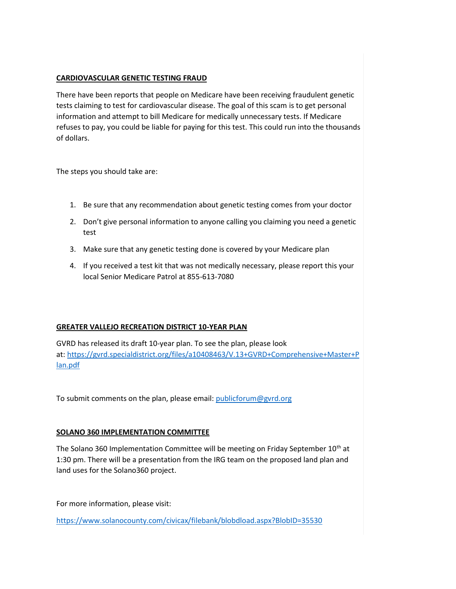### **CARDIOVASCULAR GENETIC TESTING FRAUD**

There have been reports that people on Medicare have been receiving fraudulent genetic tests claiming to test for cardiovascular disease. The goal of this scam is to get personal information and attempt to bill Medicare for medically unnecessary tests. If Medicare refuses to pay, you could be liable for paying for this test. This could run into the thousands of dollars.

The steps you should take are:

- 1. Be sure that any recommendation about genetic testing comes from your doctor
- 2. Don't give personal information to anyone calling you claiming you need a genetic test
- 3. Make sure that any genetic testing done is covered by your Medicare plan
- 4. If you received a test kit that was not medically necessary, please report this your local Senior Medicare Patrol at 855-613-7080

# **GREATER VALLEJO RECREATION DISTRICT 10-YEAR PLAN**

GVRD has released its draft 10-year plan. To see the plan, please look at: [https://gvrd.specialdistrict.org/files/a10408463/V.13+GVRD+Comprehensive+Master+P](https://gvrd.specialdistrict.org/files/a10408463/V.13+GVRD+Comprehensive+Master+Plan.pdf) [lan.pdf](https://gvrd.specialdistrict.org/files/a10408463/V.13+GVRD+Comprehensive+Master+Plan.pdf)

To submit comments on the plan, please email: [publicforum@gvrd.org](mailto:publicforum@gvrd.org)

# **SOLANO 360 IMPLEMENTATION COMMITTEE**

The Solano 360 Implementation Committee will be meeting on Friday September 10<sup>th</sup> at 1:30 pm. There will be a presentation from the IRG team on the proposed land plan and land uses for the Solano360 project.

For more information, please visit:

<https://www.solanocounty.com/civicax/filebank/blobdload.aspx?BlobID=35530>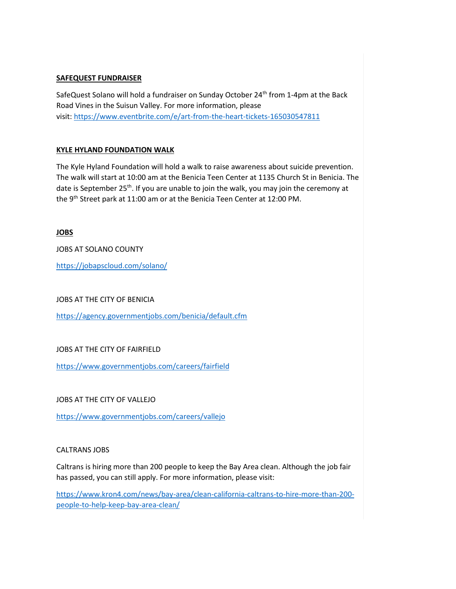### **SAFEQUEST FUNDRAISER**

SafeQuest Solano will hold a fundraiser on Sunday October 24<sup>th</sup> from 1-4pm at the Back Road Vines in the Suisun Valley. For more information, please visit: <https://www.eventbrite.com/e/art-from-the-heart-tickets-165030547811>

### **KYLE HYLAND FOUNDATION WALK**

The Kyle Hyland Foundation will hold a walk to raise awareness about suicide prevention. The walk will start at 10:00 am at the Benicia Teen Center at 1135 Church St in Benicia. The date is September 25<sup>th</sup>. If you are unable to join the walk, you may join the ceremony at the 9<sup>th</sup> Street park at 11:00 am or at the Benicia Teen Center at 12:00 PM.

### **JOBS**

JOBS AT SOLANO COUNTY

<https://jobapscloud.com/solano/>

### JOBS AT THE CITY OF BENICIA

<https://agency.governmentjobs.com/benicia/default.cfm>

### JOBS AT THE CITY OF FAIRFIELD

<https://www.governmentjobs.com/careers/fairfield>

JOBS AT THE CITY OF VALLEJO

<https://www.governmentjobs.com/careers/vallejo>

### CALTRANS JOBS

Caltrans is hiring more than 200 people to keep the Bay Area clean. Although the job fair has passed, you can still apply. For more information, please visit:

[https://www.kron4.com/news/bay-area/clean-california-caltrans-to-hire-more-than-200](https://www.kron4.com/news/bay-area/clean-california-caltrans-to-hire-more-than-200-people-to-help-keep-bay-area-clean/) [people-to-help-keep-bay-area-clean/](https://www.kron4.com/news/bay-area/clean-california-caltrans-to-hire-more-than-200-people-to-help-keep-bay-area-clean/)